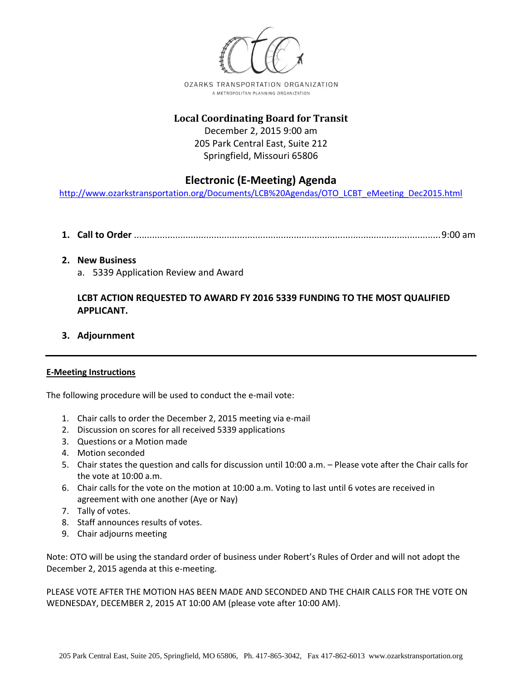

## **Local Coordinating Board for Transit** December 2, 2015 9:00 am 205 Park Central East, Suite 212 Springfield, Missouri 65806

## **Electronic (E-Meeting) Agenda**

[http://www.ozarkstransportation.org/Documents/LCB%20Agendas/OTO\\_LCBT\\_eMeeting\\_Dec2015.html](http://www.ozarkstransportation.org/Documents/LCB%20Agendas/OTO_LCBT_eMeeting_Dec2015.html)

- **1. Call to Order** .......................................................................................................................9:00 am
- **2. New Business**
	- a. 5339 Application Review and Award

## **LCBT ACTION REQUESTED TO AWARD FY 2016 5339 FUNDING TO THE MOST QUALIFIED APPLICANT.**

**3. Adjournment**

## **E-Meeting Instructions**

The following procedure will be used to conduct the e-mail vote:

- 1. Chair calls to order the December 2, 2015 meeting via e-mail
- 2. Discussion on scores for all received 5339 applications
- 3. Questions or a Motion made
- 4. Motion seconded
- 5. Chair states the question and calls for discussion until 10:00 a.m. Please vote after the Chair calls for the vote at 10:00 a.m.
- 6. Chair calls for the vote on the motion at 10:00 a.m. Voting to last until 6 votes are received in agreement with one another (Aye or Nay)
- 7. Tally of votes.
- 8. Staff announces results of votes.
- 9. Chair adjourns meeting

Note: OTO will be using the standard order of business under Robert's Rules of Order and will not adopt the December 2, 2015 agenda at this e-meeting.

PLEASE VOTE AFTER THE MOTION HAS BEEN MADE AND SECONDED AND THE CHAIR CALLS FOR THE VOTE ON WEDNESDAY, DECEMBER 2, 2015 AT 10:00 AM (please vote after 10:00 AM).